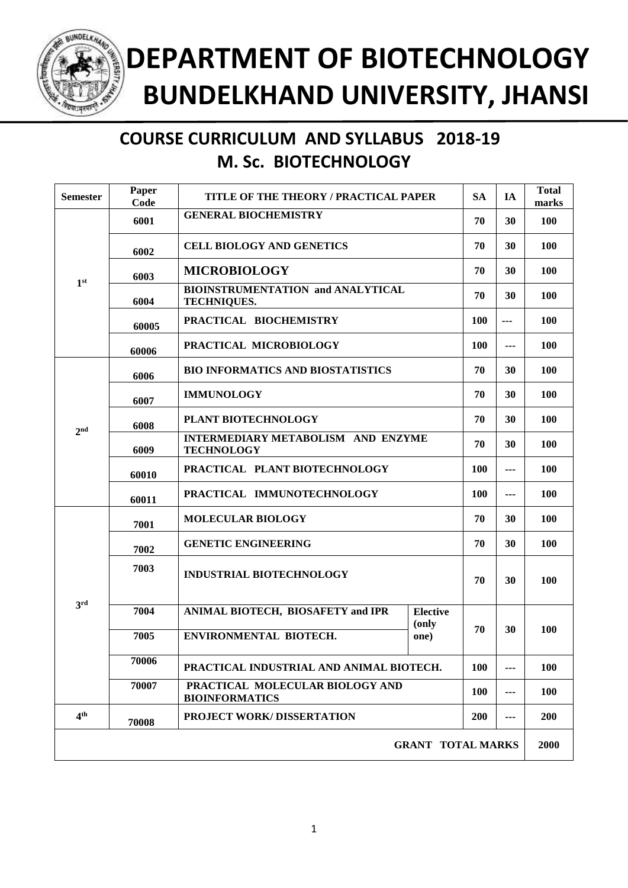

## **COURSE CURRICULUM AND SYLLABUS 2018-19 M. Sc. BIOTECHNOLOGY**

| <b>Semester</b>          | Paper<br>Code | TITLE OF THE THEORY / PRACTICAL PAPER                          |                                        | <b>SA</b>  | <b>IA</b>                | <b>Total</b><br>marks |
|--------------------------|---------------|----------------------------------------------------------------|----------------------------------------|------------|--------------------------|-----------------------|
| 1 <sup>st</sup>          | 6001          | <b>GENERAL BIOCHEMISTRY</b>                                    |                                        | 70         | 30                       | 100                   |
|                          | 6002          | <b>CELL BIOLOGY AND GENETICS</b>                               |                                        | 70         | 30                       | 100                   |
|                          | 6003          | <b>MICROBIOLOGY</b>                                            |                                        | 70         | 30                       | 100                   |
|                          | 6004          | <b>BIOINSTRUMENTATION and ANALYTICAL</b><br><b>TECHNIQUES.</b> |                                        | 70         | 30                       | 100                   |
|                          | 60005         | PRACTICAL BIOCHEMISTRY                                         |                                        | 100        | ---                      | 100                   |
| 2 <sub>nd</sub>          | 60006         | PRACTICAL MICROBIOLOGY                                         |                                        | <b>100</b> | $\overline{\phantom{a}}$ | 100                   |
|                          | 6006          | <b>BIO INFORMATICS AND BIOSTATISTICS</b>                       |                                        | 70         | 30                       | 100                   |
|                          | 6007          | <b>IMMUNOLOGY</b>                                              |                                        | 70         | 30                       | 100                   |
|                          | 6008          | PLANT BIOTECHNOLOGY                                            |                                        | 70         | 30                       | 100                   |
|                          | 6009          | <b>INTERMEDIARY METABOLISM AND ENZYME</b><br><b>TECHNOLOGY</b> |                                        | 70         | 30                       | 100                   |
|                          | 60010         | PRACTICAL PLANT BIOTECHNOLOGY                                  |                                        | 100        | ---                      | 100                   |
|                          | 60011         | PRACTICAL IMMUNOTECHNOLOGY                                     |                                        | 100        | ---                      | 100                   |
| 3rd                      | 7001          | <b>MOLECULAR BIOLOGY</b>                                       |                                        | 70         | 30                       | 100                   |
|                          | 7002          | <b>GENETIC ENGINEERING</b>                                     |                                        | 70         | 30                       | 100                   |
|                          | 7003          | <b>INDUSTRIAL BIOTECHNOLOGY</b>                                |                                        | 70         | 30                       | 100                   |
|                          | 7004          | <b>ANIMAL BIOTECH, BIOSAFETY and IPR</b>                       | <b>Elective</b><br>(only<br>70<br>one) |            |                          |                       |
|                          | 7005          | ENVIRONMENTAL BIOTECH.                                         |                                        | 30         | 100                      |                       |
|                          | 70006         | PRACTICAL INDUSTRIAL AND ANIMAL BIOTECH.                       |                                        | 100        | ---                      | 100                   |
|                          | 70007         | PRACTICAL MOLECULAR BIOLOGY AND<br><b>BIOINFORMATICS</b>       |                                        | <b>100</b> | ---                      | 100                   |
| 4 <sup>th</sup>          | 70008         | <b>PROJECT WORK/DISSERTATION</b>                               |                                        | <b>200</b> | ---                      | 200                   |
| <b>GRANT TOTAL MARKS</b> |               |                                                                |                                        |            |                          | 2000                  |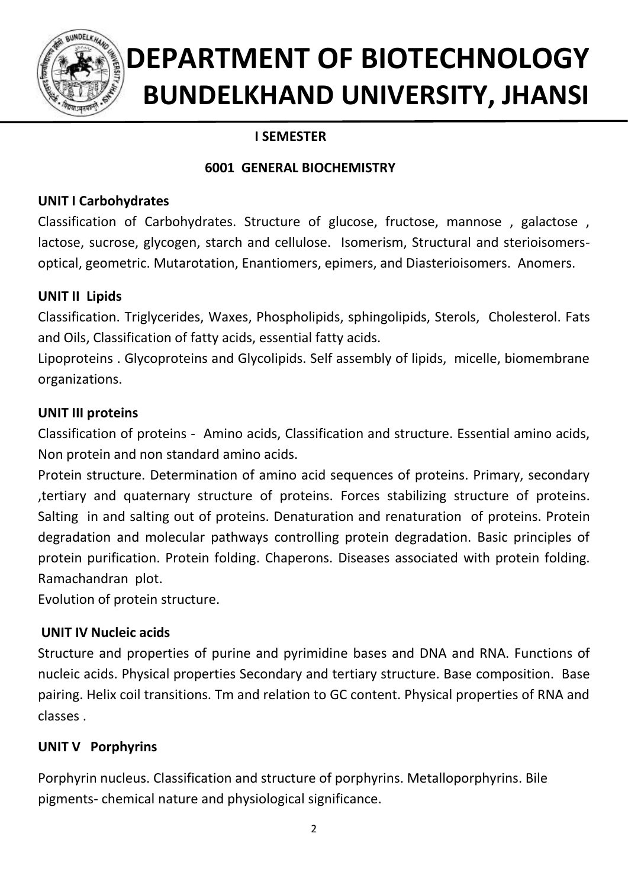

## **I SEMESTER**

## **6001 GENERAL BIOCHEMISTRY**

## **UNIT I Carbohydrates**

Classification of Carbohydrates. Structure of glucose, fructose, mannose , galactose , lactose, sucrose, glycogen, starch and cellulose. Isomerism, Structural and sterioisomersoptical, geometric. Mutarotation, Enantiomers, epimers, and Diasterioisomers. Anomers.

## **UNIT II Lipids**

Classification. Triglycerides, Waxes, Phospholipids, sphingolipids, Sterols, Cholesterol. Fats and Oils, Classification of fatty acids, essential fatty acids.

Lipoproteins . Glycoproteins and Glycolipids. Self assembly of lipids, micelle, biomembrane organizations.

## **UNIT III proteins**

Classification of proteins - Amino acids, Classification and structure. Essential amino acids, Non protein and non standard amino acids.

Protein structure. Determination of amino acid sequences of proteins. Primary, secondary ,tertiary and quaternary structure of proteins. Forces stabilizing structure of proteins. Salting in and salting out of proteins. Denaturation and renaturation of proteins. Protein degradation and molecular pathways controlling protein degradation. Basic principles of protein purification. Protein folding. Chaperons. Diseases associated with protein folding. Ramachandran plot.

Evolution of protein structure.

## **UNIT IV Nucleic acids**

Structure and properties of purine and pyrimidine bases and DNA and RNA. Functions of nucleic acids. Physical properties Secondary and tertiary structure. Base composition. Base pairing. Helix coil transitions. Tm and relation to GC content. Physical properties of RNA and classes .

## **UNIT V Porphyrins**

Porphyrin nucleus. Classification and structure of porphyrins. Metalloporphyrins. Bile pigments- chemical nature and physiological significance.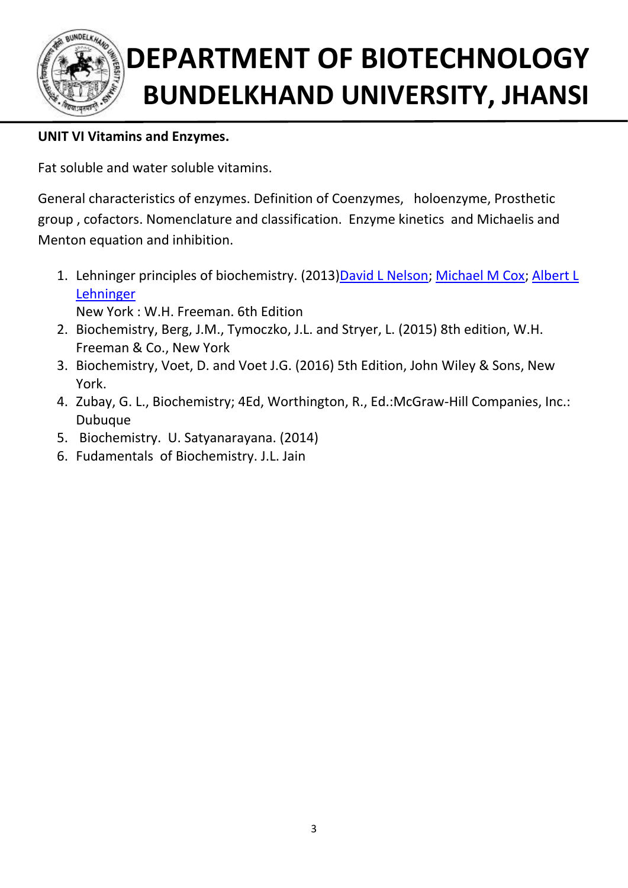

## **UNIT VI Vitamins and Enzymes.**

Fat soluble and water soluble vitamins.

General characteristics of enzymes. Definition of Coenzymes, holoenzyme, Prosthetic group , cofactors. Nomenclature and classification. Enzyme kinetics and Michaelis and Menton equation and inhibition.

- 1. Lehninger principles of biochemistry. (2013[\)David L Nelson;](http://www.worldcat.org/search?q=au%3ANelson%2C+David+L.%2C&qt=hot_author) [Michael M Cox;](http://www.worldcat.org/search?q=au%3ACox%2C+Michael+M.&qt=hot_author) Albert L [Lehninger](http://www.worldcat.org/search?q=au%3ALehninger%2C+Albert+L.&qt=hot_author) New York : W.H. Freeman. 6th Edition
- 2. Biochemistry, Berg, J.M., Tymoczko, J.L. and Stryer, L. (2015) 8th edition, W.H. Freeman & Co., New York
- 3. Biochemistry, Voet, D. and Voet J.G. (2016) 5th Edition, John Wiley & Sons, New York.
- 4. Zubay, G. L., Biochemistry; 4Ed, Worthington, R., Ed.:McGraw-Hill Companies, Inc.: Dubuque
- 5. Biochemistry. U. Satyanarayana. (2014)
- 6. Fudamentals of Biochemistry. J.L. Jain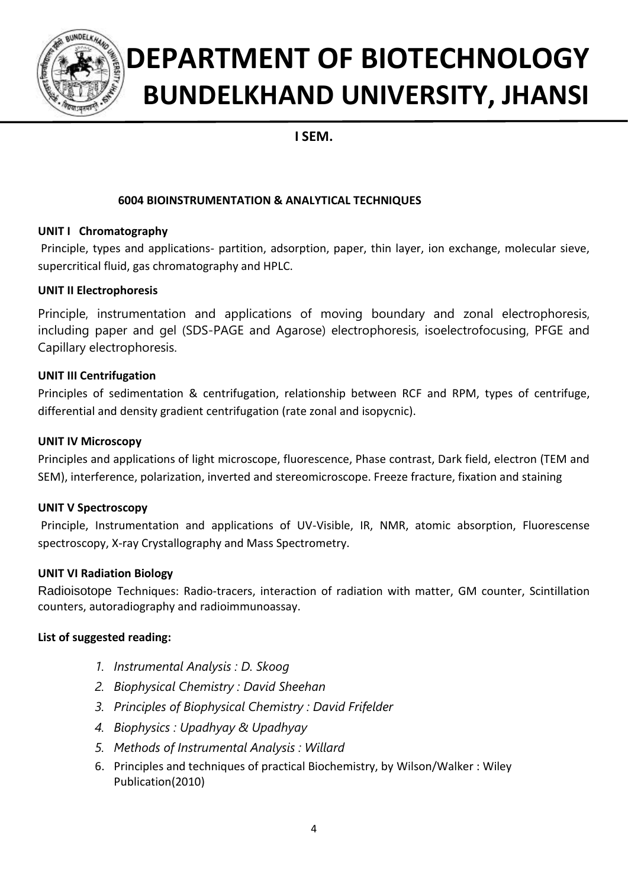

## **I SEM.**

### **6004 BIOINSTRUMENTATION & ANALYTICAL TECHNIQUES**

### **UNIT I Chromatography**

Principle, types and applications- partition, adsorption, paper, thin layer, ion exchange, molecular sieve, supercritical fluid, gas chromatography and HPLC.

### **UNIT II Electrophoresis**

Principle, instrumentation and applications of moving boundary and zonal electrophoresis, including paper and gel (SDS-PAGE and Agarose) electrophoresis, isoelectrofocusing, PFGE and Capillary electrophoresis.

### **UNIT III Centrifugation**

Principles of sedimentation & centrifugation, relationship between RCF and RPM, types of centrifuge, differential and density gradient centrifugation (rate zonal and isopycnic).

#### **UNIT IV Microscopy**

Principles and applications of light microscope, fluorescence, Phase contrast, Dark field, electron (TEM and SEM), interference, polarization, inverted and stereomicroscope. Freeze fracture, fixation and staining

#### **UNIT V Spectroscopy**

Principle, Instrumentation and applications of UV-Visible, IR, NMR, atomic absorption, Fluorescense spectroscopy, X-ray Crystallography and Mass Spectrometry.

#### **UNIT VI Radiation Biology**

Radioisotope Techniques: Radio-tracers, interaction of radiation with matter, GM counter, Scintillation counters, autoradiography and radioimmunoassay.

- *1. Instrumental Analysis : D. Skoog*
- *2. Biophysical Chemistry : David Sheehan*
- *3. Principles of Biophysical Chemistry : David Frifelder*
- *4. Biophysics : Upadhyay & Upadhyay*
- *5. Methods of Instrumental Analysis : Willard*
- 6. Principles and techniques of practical Biochemistry, by [Wilson/Walker](http://www.amazon.in/s/ref=dp_byline_sr_book_1?ie=UTF8&field-author=Wilson%2FWalker&search-alias=stripbooks) : Wiley Publication(2010)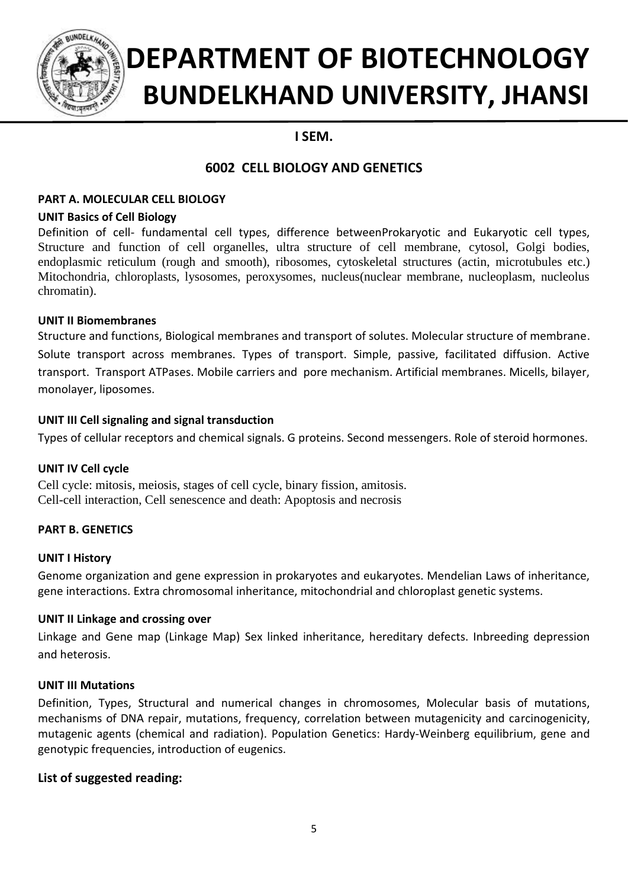

## **I SEM.**

## **6002 CELL BIOLOGY AND GENETICS**

### **PART A. MOLECULAR CELL BIOLOGY**

#### **UNIT Basics of Cell Biology**

Definition of cell- fundamental cell types, difference betweenProkaryotic and Eukaryotic cell types, Structure and function of cell organelles, ultra structure of cell membrane, cytosol, Golgi bodies, endoplasmic reticulum (rough and smooth), ribosomes, cytoskeletal structures (actin, microtubules etc.) Mitochondria, chloroplasts, lysosomes, peroxysomes, nucleus(nuclear membrane, nucleoplasm, nucleolus chromatin).

#### **UNIT II Biomembranes**

Structure and functions, Biological membranes and transport of solutes. Molecular structure of membrane. Solute transport across membranes. Types of transport. Simple, passive, facilitated diffusion. Active transport. Transport ATPases. Mobile carriers and pore mechanism. Artificial membranes. Micells, bilayer, monolayer, liposomes.

### **UNIT III Cell signaling and signal transduction**

Types of cellular receptors and chemical signals. G proteins. Second messengers. Role of steroid hormones.

### **UNIT IV Cell cycle**

Cell cycle: mitosis, meiosis, stages of cell cycle, binary fission, amitosis. Cell-cell interaction, Cell senescence and death: Apoptosis and necrosis

### **PART B. GENETICS**

#### **UNIT I History**

Genome organization and gene expression in prokaryotes and eukaryotes. Mendelian Laws of inheritance, gene interactions. Extra chromosomal inheritance, mitochondrial and chloroplast genetic systems.

#### **UNIT II Linkage and crossing over**

Linkage and Gene map (Linkage Map) Sex linked inheritance, hereditary defects. Inbreeding depression and heterosis.

#### **UNIT III Mutations**

Definition, Types, Structural and numerical changes in chromosomes, Molecular basis of mutations, mechanisms of DNA repair, mutations, frequency, correlation between mutagenicity and carcinogenicity, mutagenic agents (chemical and radiation). Population Genetics: Hardy-Weinberg equilibrium, gene and genotypic frequencies, introduction of eugenics.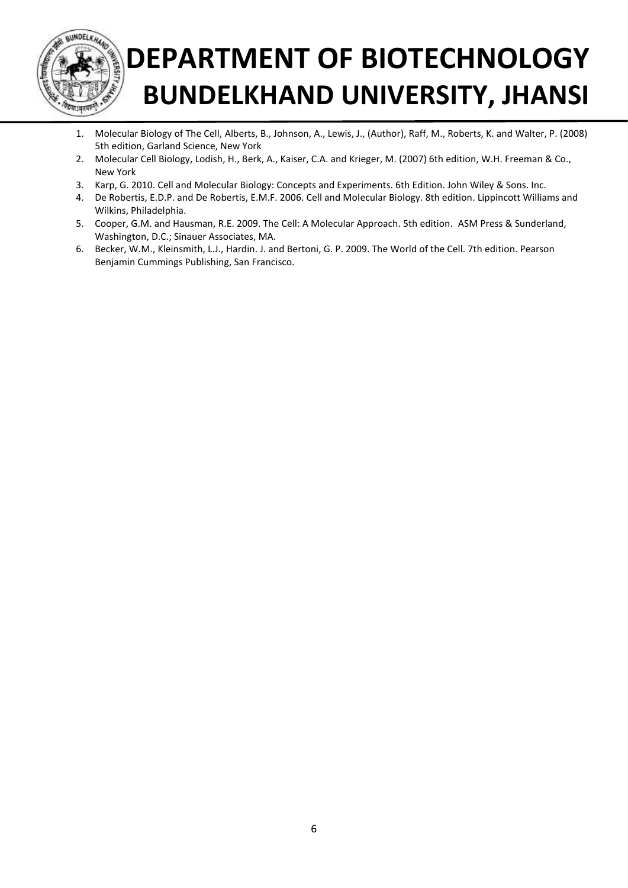

- 1. Molecular Biology of The Cell, Alberts, B., Johnson, A., Lewis, J., (Author), Raff, M., Roberts, K. and Walter, P. (2008) 5th edition, Garland Science, New York
- 2. Molecular Cell Biology, Lodish, H., Berk, A., Kaiser, C.A. and Krieger, M. (2007) 6th edition, W.H. Freeman & Co., New York
- 3. Karp, G. 2010. Cell and Molecular Biology: Concepts and Experiments. 6th Edition. John Wiley & Sons. Inc.
- 4. De Robertis, E.D.P. and De Robertis, E.M.F. 2006. Cell and Molecular Biology. 8th edition. Lippincott Williams and Wilkins, Philadelphia.
- 5. Cooper, G.M. and Hausman, R.E. 2009. The Cell: A Molecular Approach. 5th edition. ASM Press & Sunderland, Washington, D.C.; Sinauer Associates, MA.
- 6. Becker, W.M., Kleinsmith, L.J., Hardin. J. and Bertoni, G. P. 2009. The World of the Cell. 7th edition. Pearson Benjamin Cummings Publishing, San Francisco.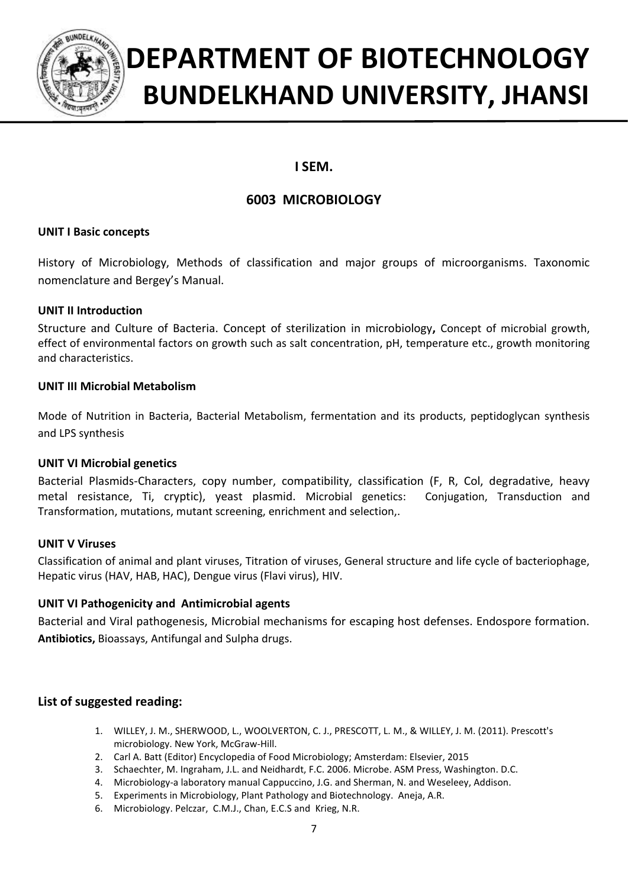

## **I SEM.**

## **6003 MICROBIOLOGY**

#### **UNIT I Basic concepts**

History of Microbiology, Methods of classification and major groups of microorganisms. Taxonomic nomenclature and Bergey's Manual.

#### **UNIT II Introduction**

Structure and Culture of Bacteria. Concept of sterilization in microbiology**,** Concept of microbial growth, effect of environmental factors on growth such as salt concentration, pH, temperature etc., growth monitoring and characteristics.

#### **UNIT III Microbial Metabolism**

Mode of Nutrition in Bacteria, Bacterial Metabolism, fermentation and its products, peptidoglycan synthesis and LPS synthesis

#### **UNIT VI Microbial genetics**

Bacterial Plasmids-Characters, copy number, compatibility, classification (F, R, Col, degradative, heavy metal resistance, Ti, cryptic), yeast plasmid. Microbial genetics: Conjugation, Transduction and Transformation, mutations, mutant screening, enrichment and selection,.

#### **UNIT V Viruses**

Classification of animal and plant viruses, Titration of viruses, General structure and life cycle of bacteriophage, Hepatic virus (HAV, HAB, HAC), Dengue virus (Flavi virus), HIV.

#### **UNIT VI Pathogenicity and Antimicrobial agents**

Bacterial and Viral pathogenesis, Microbial mechanisms for escaping host defenses. Endospore formation. **Antibiotics,** Bioassays, Antifungal and Sulpha drugs.

- 1. WILLEY, J. M., SHERWOOD, L., WOOLVERTON, C. J., PRESCOTT, L. M., & WILLEY, J. M. (2011). Prescott's microbiology. New York, McGraw-Hill.
- 2. Carl A. Batt (Editor) Encyclopedia of Food Microbiology; Amsterdam: Elsevier, 2015
- 3. Schaechter, M. Ingraham, J.L. and Neidhardt, F.C. 2006. Microbe. ASM Press, Washington. D.C.
- 4. Microbiology-a laboratory manual Cappuccino, J.G. and Sherman, N. and Weseleey, Addison.
- 5. Experiments in Microbiology, Plant Pathology and Biotechnology. Aneja, A.R.
- 6. Microbiology. Pelczar, C.M.J., Chan, E.C.S and Krieg, N.R.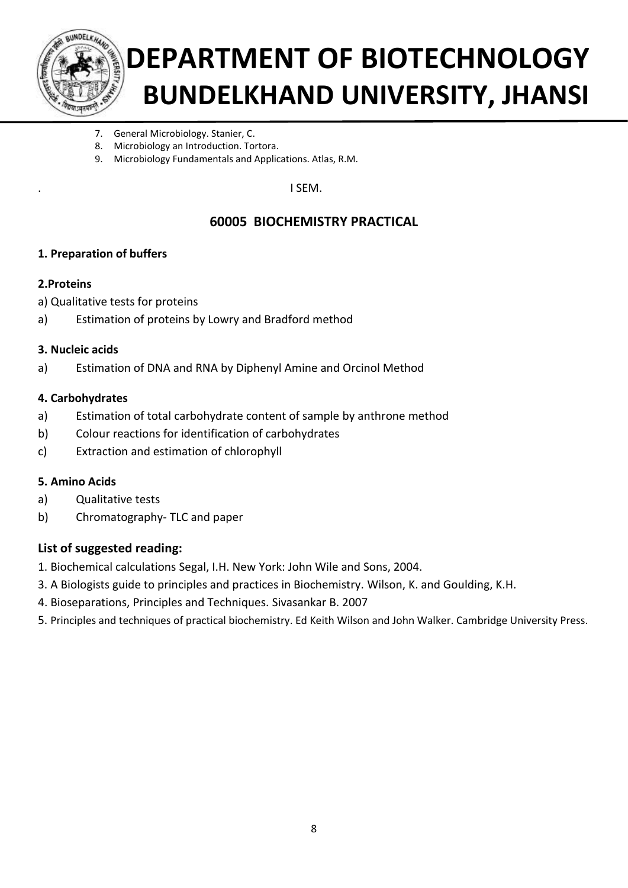

- 7. General Microbiology. Stanier, C.
- 8. Microbiology an Introduction. Tortora.
- 9. Microbiology Fundamentals and Applications. Atlas, R.M.

. I SEM.

## **60005 BIOCHEMISTRY PRACTICAL**

#### **1. Preparation of buffers**

#### **2.Proteins**

- a) Qualitative tests for proteins
- a) Estimation of proteins by Lowry and Bradford method

#### **3. Nucleic acids**

a) Estimation of DNA and RNA by Diphenyl Amine and Orcinol Method

#### **4. Carbohydrates**

- a) Estimation of total carbohydrate content of sample by anthrone method
- b) Colour reactions for identification of carbohydrates
- c) Extraction and estimation of chlorophyll

#### **5. Amino Acids**

- a) Qualitative tests
- b) Chromatography- TLC and paper

- 1. Biochemical calculations Segal, I.H. New York: John Wile and Sons, 2004.
- 3. A Biologists guide to principles and practices in Biochemistry. Wilson, K. and Goulding, K.H.
- 4. Bioseparations, Principles and Techniques. Sivasankar B. 2007
- 5. Principles and techniques of practical biochemistry. Ed Keith Wilson and John Walker. Cambridge University Press.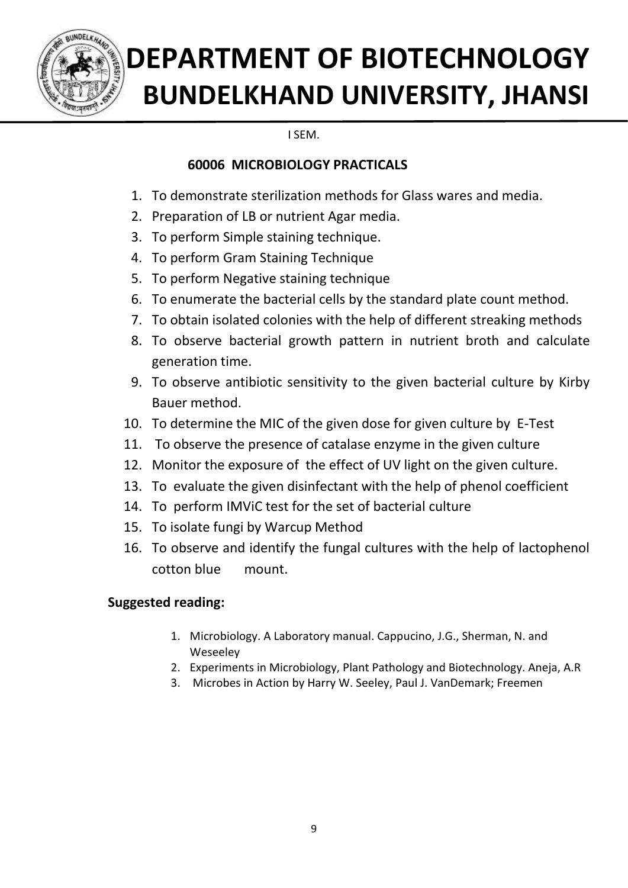

I SEM.

## **60006 MICROBIOLOGY PRACTICALS**

- 1. To demonstrate sterilization methods for Glass wares and media.
- 2. Preparation of LB or nutrient Agar media.
- 3. To perform Simple staining technique.
- 4. To perform Gram Staining Technique
- 5. To perform Negative staining technique
- 6. To enumerate the bacterial cells by the standard plate count method.
- 7. To obtain isolated colonies with the help of different streaking methods
- 8. To observe bacterial growth pattern in nutrient broth and calculate generation time.
- 9. To observe antibiotic sensitivity to the given bacterial culture by Kirby Bauer method.
- 10. To determine the MIC of the given dose for given culture by E-Test
- 11. To observe the presence of catalase enzyme in the given culture
- 12. Monitor the exposure of the effect of UV light on the given culture.
- 13. To evaluate the given disinfectant with the help of phenol coefficient
- 14. To perform IMViC test for the set of bacterial culture
- 15. To isolate fungi by Warcup Method
- 16. To observe and identify the fungal cultures with the help of lactophenol cotton blue mount.

## **Suggested reading:**

- 1. Microbiology. A Laboratory manual. Cappucino, J.G., Sherman, N. and Weseeley
- 2. Experiments in Microbiology, Plant Pathology and Biotechnology. Aneja, A.R
- 3. Microbes in Action by [Harry W. Seeley,](https://www.google.co.in/search?tbo=p&tbm=bks&q=inauthor:%22Harry+W.+Seeley%22) [Paul J. VanDemark;](https://www.google.co.in/search?tbo=p&tbm=bks&q=inauthor:%22Paul+J.+VanDemark%22) Freemen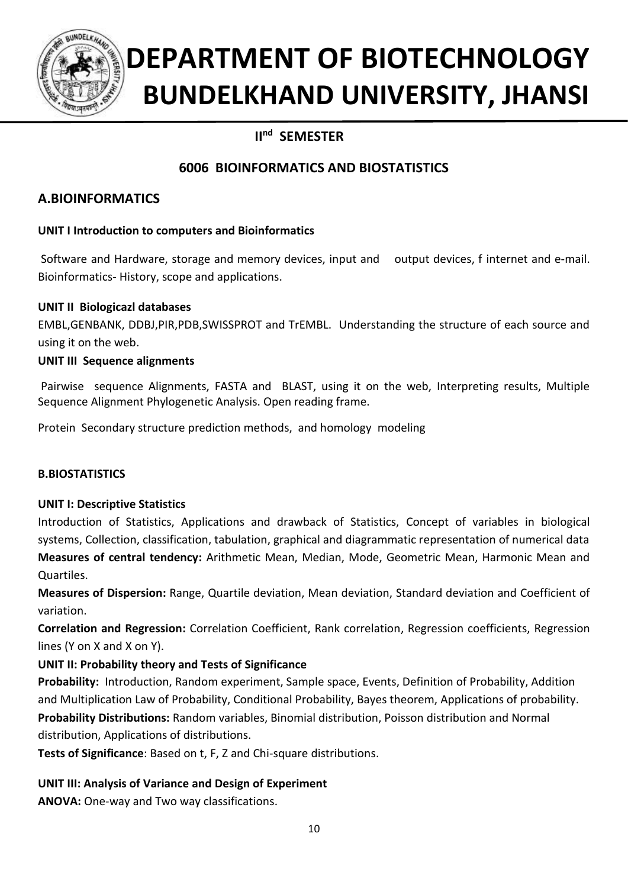

## **IInd SEMESTER**

## **6006 BIOINFORMATICS AND BIOSTATISTICS**

## **A.BIOINFORMATICS**

### **UNIT I Introduction to computers and Bioinformatics**

Software and Hardware, storage and memory devices, input and output devices, f internet and e-mail. Bioinformatics- History, scope and applications.

### **UNIT II Biologicazl databases**

EMBL,GENBANK, DDBJ,PIR,PDB,SWISSPROT and TrEMBL. Understanding the structure of each source and using it on the web.

### **UNIT III Sequence alignments**

Pairwise sequence Alignments, FASTA and BLAST, using it on the web, Interpreting results, Multiple Sequence Alignment Phylogenetic Analysis. Open reading frame.

Protein Secondary structure prediction methods, and homology modeling

### **B.BIOSTATISTICS**

#### **UNIT I: Descriptive Statistics**

Introduction of Statistics, Applications and drawback of Statistics, Concept of variables in biological systems, Collection, classification, tabulation, graphical and diagrammatic representation of numerical data **Measures of central tendency:** Arithmetic Mean, Median, Mode, Geometric Mean, Harmonic Mean and Quartiles.

**Measures of Dispersion:** Range, Quartile deviation, Mean deviation, Standard deviation and Coefficient of variation.

**Correlation and Regression:** Correlation Coefficient, Rank correlation, Regression coefficients, Regression lines (Y on X and X on Y).

### **UNIT II: Probability theory and Tests of Significance**

**Probability:** Introduction, Random experiment, Sample space, Events, Definition of Probability, Addition and Multiplication Law of Probability, Conditional Probability, Bayes theorem, Applications of probability. **Probability Distributions:** Random variables, Binomial distribution, Poisson distribution and Normal distribution, Applications of distributions.

**Tests of Significance**: Based on t, F, Z and Chi-square distributions.

#### **UNIT III: Analysis of Variance and Design of Experiment**

**ANOVA:** One-way and Two way classifications.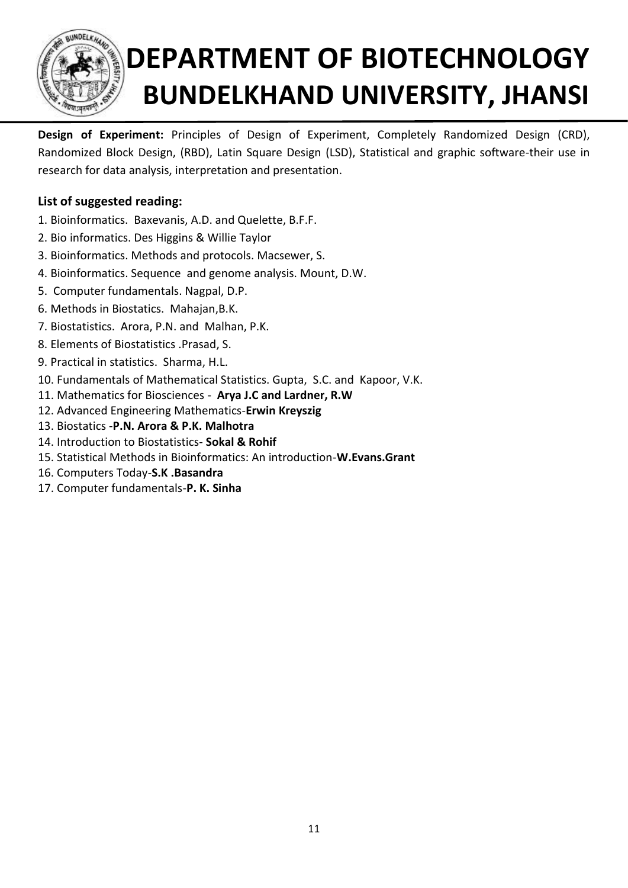

**Design of Experiment:** Principles of Design of Experiment, Completely Randomized Design (CRD), Randomized Block Design, (RBD), Latin Square Design (LSD), Statistical and graphic software-their use in research for data analysis, interpretation and presentation.

- 1. Bioinformatics. Baxevanis, A.D. and Quelette, B.F.F.
- 2. Bio informatics. Des Higgins & Willie Taylor
- 3. Bioinformatics. Methods and protocols. Macsewer, S.
- 4. Bioinformatics. Sequence and genome analysis. Mount, D.W.
- 5. Computer fundamentals. Nagpal, D.P.
- 6. Methods in Biostatics. Mahajan,B.K.
- 7. Biostatistics. Arora, P.N. and Malhan, P.K.
- 8. Elements of Biostatistics .Prasad, S.
- 9. Practical in statistics. Sharma, H.L.
- 10. Fundamentals of Mathematical Statistics. Gupta, S.C. and Kapoor, V.K.
- 11. Mathematics for Biosciences **Arya J.C and Lardner, R.W**
- 12. Advanced Engineering Mathematics-**Erwin Kreyszig**
- 13. Biostatics -**P.N. Arora & P.K. Malhotra**
- 14. Introduction to Biostatistics- **Sokal & Rohif**
- 15. Statistical Methods in Bioinformatics: An introduction-**W.Evans.Grant**
- 16. Computers Today-**S.K .Basandra**
- 17. Computer fundamentals-**P. K. Sinha**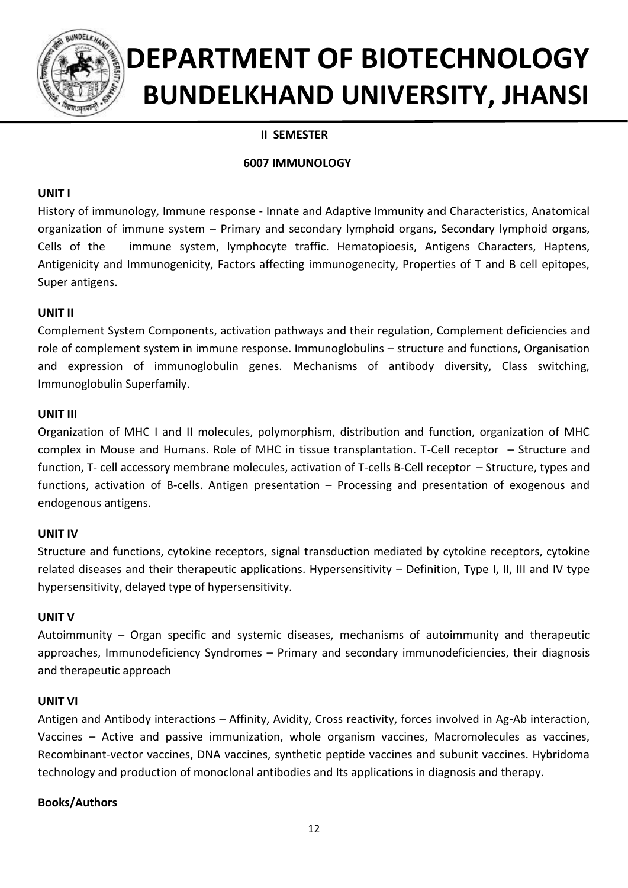

### **II SEMESTER**

#### **6007 IMMUNOLOGY**

#### **UNIT I**

History of immunology, Immune response - Innate and Adaptive Immunity and Characteristics, Anatomical organization of immune system – Primary and secondary lymphoid organs, Secondary lymphoid organs, Cells of the immune system, lymphocyte traffic. Hematopioesis, Antigens Characters, Haptens, Antigenicity and Immunogenicity, Factors affecting immunogenecity, Properties of T and B cell epitopes, Super antigens.

#### **UNIT II**

Complement System Components, activation pathways and their regulation, Complement deficiencies and role of complement system in immune response. Immunoglobulins – structure and functions, Organisation and expression of immunoglobulin genes. Mechanisms of antibody diversity, Class switching, Immunoglobulin Superfamily.

#### **UNIT III**

Organization of MHC I and II molecules, polymorphism, distribution and function, organization of MHC complex in Mouse and Humans. Role of MHC in tissue transplantation. T-Cell receptor – Structure and function, T- cell accessory membrane molecules, activation of T-cells B-Cell receptor – Structure, types and functions, activation of B-cells. Antigen presentation – Processing and presentation of exogenous and endogenous antigens.

#### **UNIT IV**

Structure and functions, cytokine receptors, signal transduction mediated by cytokine receptors, cytokine related diseases and their therapeutic applications. Hypersensitivity – Definition, Type I, II, III and IV type hypersensitivity, delayed type of hypersensitivity.

#### **UNIT V**

Autoimmunity – Organ specific and systemic diseases, mechanisms of autoimmunity and therapeutic approaches, Immunodeficiency Syndromes – Primary and secondary immunodeficiencies, their diagnosis and therapeutic approach

#### **UNIT VI**

Antigen and Antibody interactions – Affinity, Avidity, Cross reactivity, forces involved in Ag-Ab interaction, Vaccines – Active and passive immunization, whole organism vaccines, Macromolecules as vaccines, Recombinant-vector vaccines, DNA vaccines, synthetic peptide vaccines and subunit vaccines. Hybridoma technology and production of monoclonal antibodies and Its applications in diagnosis and therapy.

#### **Books/Authors**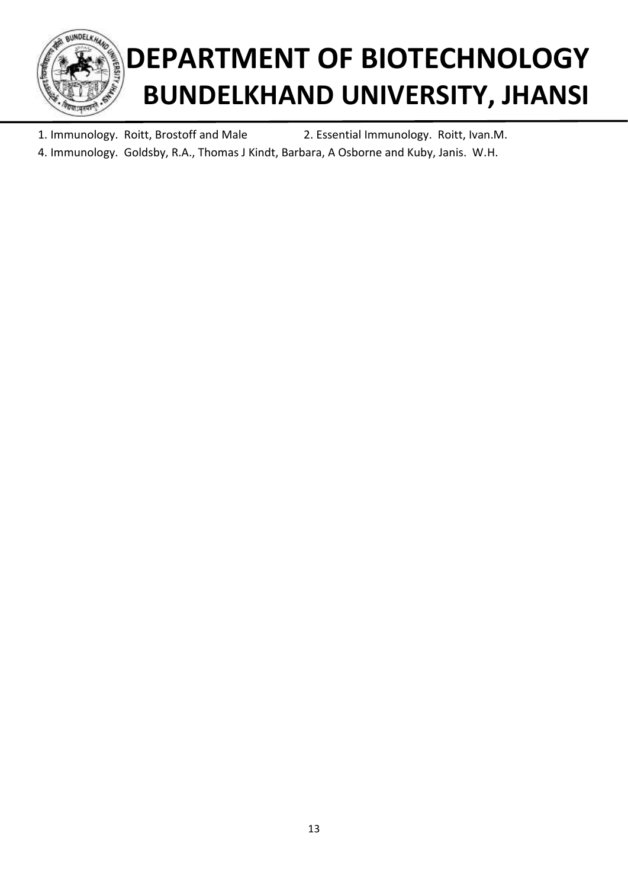

1. Immunology. Roitt, Brostoff and Male 2. Essential Immunology. Roitt, Ivan.M. 4. Immunology. Goldsby, R.A., Thomas J Kindt, Barbara, A Osborne and Kuby, Janis. W.H.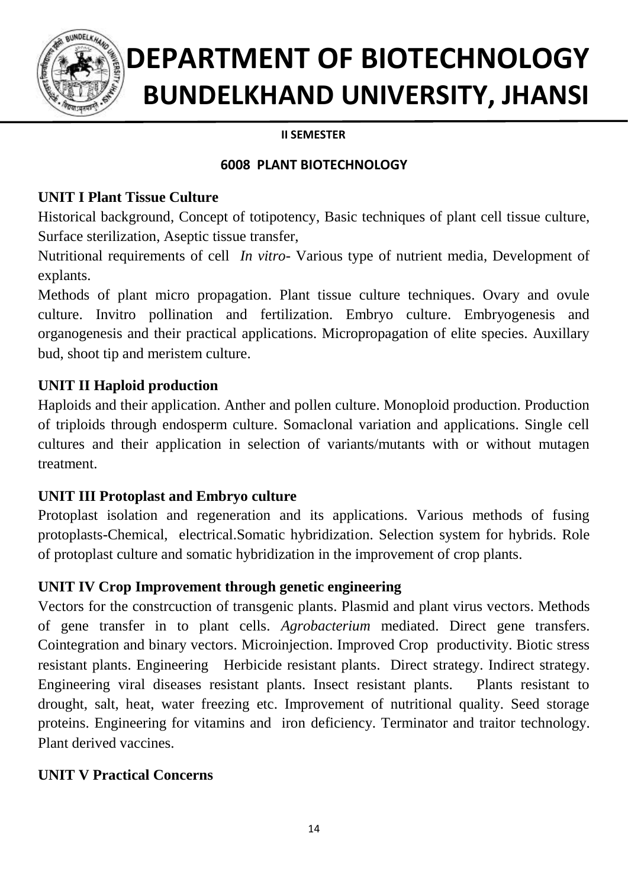

## **II SEMESTER**

## **6008 PLANT BIOTECHNOLOGY**

## **UNIT I Plant Tissue Culture**

Historical background, Concept of totipotency, Basic techniques of plant cell tissue culture, Surface sterilization, Aseptic tissue transfer,

Nutritional requirements of cell *In vitro*- Various type of nutrient media, Development of explants.

Methods of plant micro propagation. Plant tissue culture techniques. Ovary and ovule culture. Invitro pollination and fertilization. Embryo culture. Embryogenesis and organogenesis and their practical applications. Micropropagation of elite species. Auxillary bud, shoot tip and meristem culture.

## **UNIT II Haploid production**

Haploids and their application. Anther and pollen culture. Monoploid production. Production of triploids through endosperm culture. Somaclonal variation and applications. Single cell cultures and their application in selection of variants/mutants with or without mutagen treatment.

## **UNIT III Protoplast and Embryo culture**

Protoplast isolation and regeneration and its applications. Various methods of fusing protoplasts-Chemical, electrical.Somatic hybridization. Selection system for hybrids. Role of protoplast culture and somatic hybridization in the improvement of crop plants.

## **UNIT IV Crop Improvement through genetic engineering**

Vectors for the constrcuction of transgenic plants. Plasmid and plant virus vectors. Methods of gene transfer in to plant cells. *Agrobacterium* mediated. Direct gene transfers. Cointegration and binary vectors. Microinjection. Improved Crop productivity. Biotic stress resistant plants. Engineering Herbicide resistant plants. Direct strategy. Indirect strategy. Engineering viral diseases resistant plants. Insect resistant plants. Plants resistant to drought, salt, heat, water freezing etc. Improvement of nutritional quality. Seed storage proteins. Engineering for vitamins and iron deficiency. Terminator and traitor technology. Plant derived vaccines.

## **UNIT V Practical Concerns**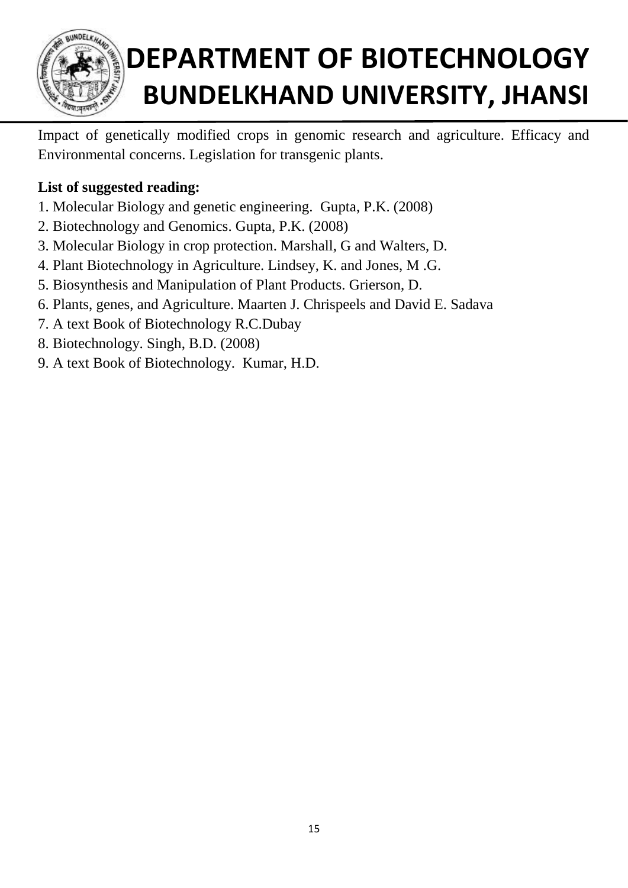

Impact of genetically modified crops in genomic research and agriculture. Efficacy and Environmental concerns. Legislation for transgenic plants.

- 1. Molecular Biology and genetic engineering. Gupta, P.K. (2008)
- 2. Biotechnology and Genomics. Gupta, P.K. (2008)
- 3. Molecular Biology in crop protection. Marshall, G and Walters, D.
- 4. Plant Biotechnology in Agriculture. Lindsey, K. and Jones, M .G.
- 5. Biosynthesis and Manipulation of Plant Products. Grierson, D.
- 6. Plants, genes, and Agriculture. Maarten J. Chrispeels and David E. Sadava
- 7. A text Book of Biotechnology R.C.Dubay
- 8. Biotechnology. Singh, B.D. (2008)
- 9. A text Book of Biotechnology. Kumar, H.D.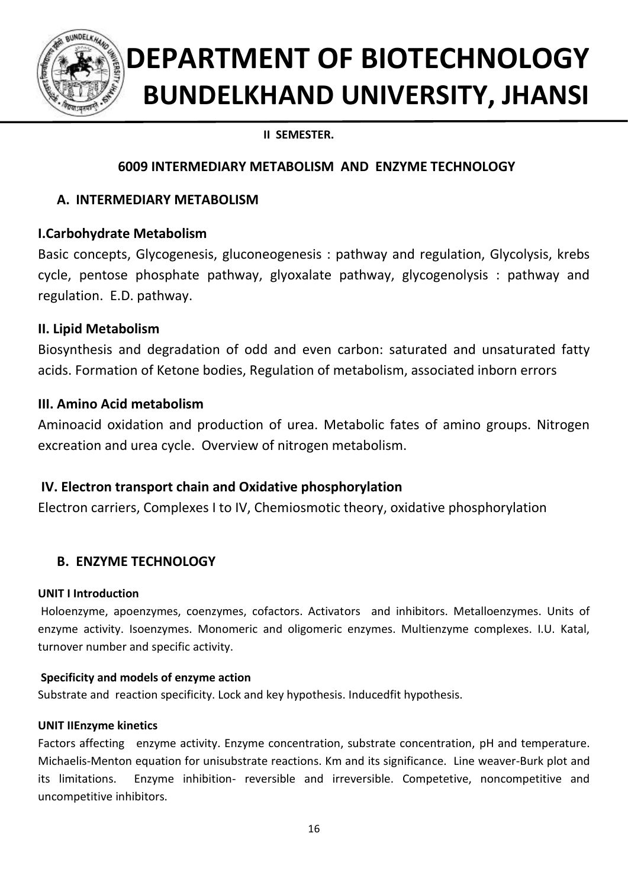

## **II SEMESTER.**

## **6009 INTERMEDIARY METABOLISM AND ENZYME TECHNOLOGY**

## **A. INTERMEDIARY METABOLISM**

## **I.Carbohydrate Metabolism**

Basic concepts, Glycogenesis, gluconeogenesis : pathway and regulation, Glycolysis, krebs cycle, pentose phosphate pathway, glyoxalate pathway, glycogenolysis : pathway and regulation. E.D. pathway.

## **II. Lipid Metabolism**

Biosynthesis and degradation of odd and even carbon: saturated and unsaturated fatty acids. Formation of Ketone bodies, Regulation of metabolism, associated inborn errors

## **III. Amino Acid metabolism**

Aminoacid oxidation and production of urea. Metabolic fates of amino groups. Nitrogen excreation and urea cycle. Overview of nitrogen metabolism.

## **IV. Electron transport chain and Oxidative phosphorylation**

Electron carriers, Complexes I to IV, Chemiosmotic theory, oxidative phosphorylation

## **B. ENZYME TECHNOLOGY**

### **UNIT I Introduction**

Holoenzyme, apoenzymes, coenzymes, cofactors. Activators and inhibitors. Metalloenzymes. Units of enzyme activity. Isoenzymes. Monomeric and oligomeric enzymes. Multienzyme complexes. I.U. Katal, turnover number and specific activity.

### **Specificity and models of enzyme action**

Substrate and reaction specificity. Lock and key hypothesis. Inducedfit hypothesis.

### **UNIT IIEnzyme kinetics**

Factors affecting enzyme activity. Enzyme concentration, substrate concentration, pH and temperature. Michaelis-Menton equation for unisubstrate reactions. Km and its significance. Line weaver-Burk plot and its limitations. Enzyme inhibition- reversible and irreversible. Competetive, noncompetitive and uncompetitive inhibitors.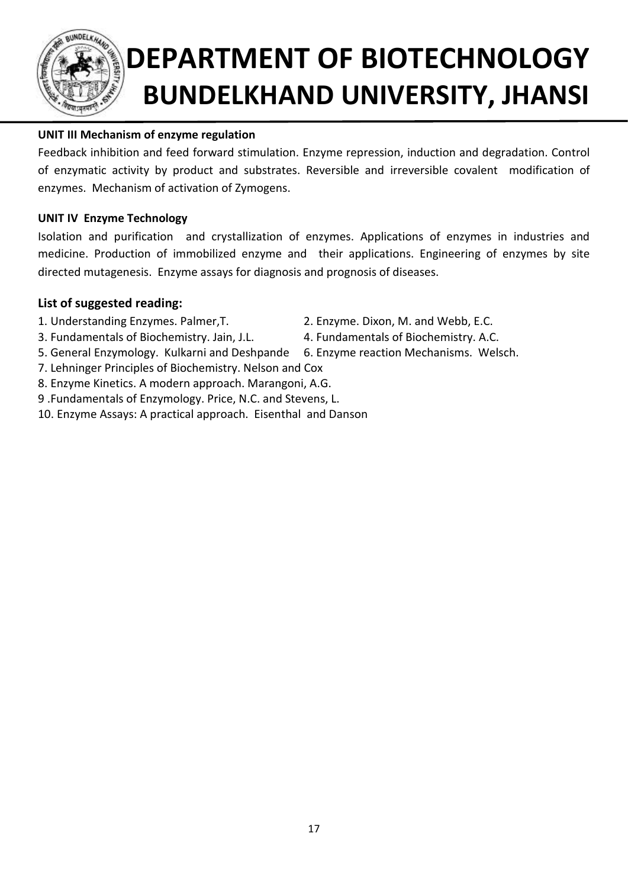

## **UNIT III Mechanism of enzyme regulation**

Feedback inhibition and feed forward stimulation. Enzyme repression, induction and degradation. Control of enzymatic activity by product and substrates. Reversible and irreversible covalent modification of enzymes. Mechanism of activation of Zymogens.

### **UNIT IV Enzyme Technology**

Isolation and purification and crystallization of enzymes. Applications of enzymes in industries and medicine. Production of immobilized enzyme and their applications. Engineering of enzymes by site directed mutagenesis. Enzyme assays for diagnosis and prognosis of diseases.

- 
- 3. Fundamentals of Biochemistry. Jain, J.L. 4. Fundamentals of Biochemistry. A.C.
- 1. Understanding Enzymes. Palmer,T. 2. Enzyme. Dixon, M. and Webb, E.C.
	-
- 5. General Enzymology. Kulkarni and Deshpande 6. Enzyme reaction Mechanisms. Welsch.
- 7. Lehninger Principles of Biochemistry. Nelson and Cox
- 8. Enzyme Kinetics. A modern approach. Marangoni, A.G.
- 9 .Fundamentals of Enzymology. Price, N.C. and Stevens, L.
- 10. Enzyme Assays: A practical approach. Eisenthal and Danson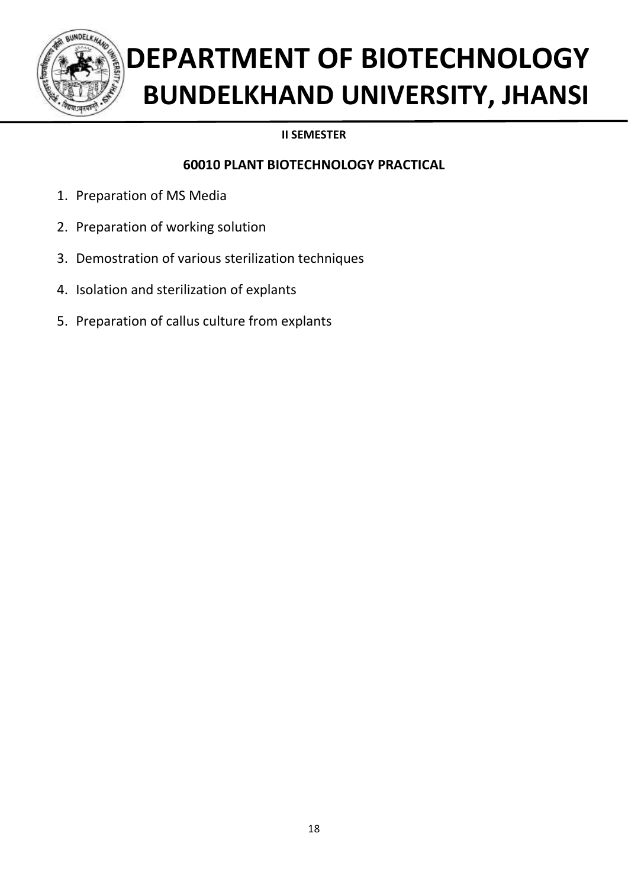

## **II SEMESTER**

## **60010 PLANT BIOTECHNOLOGY PRACTICAL**

- 1. Preparation of MS Media
- 2. Preparation of working solution
- 3. Demostration of various sterilization techniques
- 4. Isolation and sterilization of explants
- 5. Preparation of callus culture from explants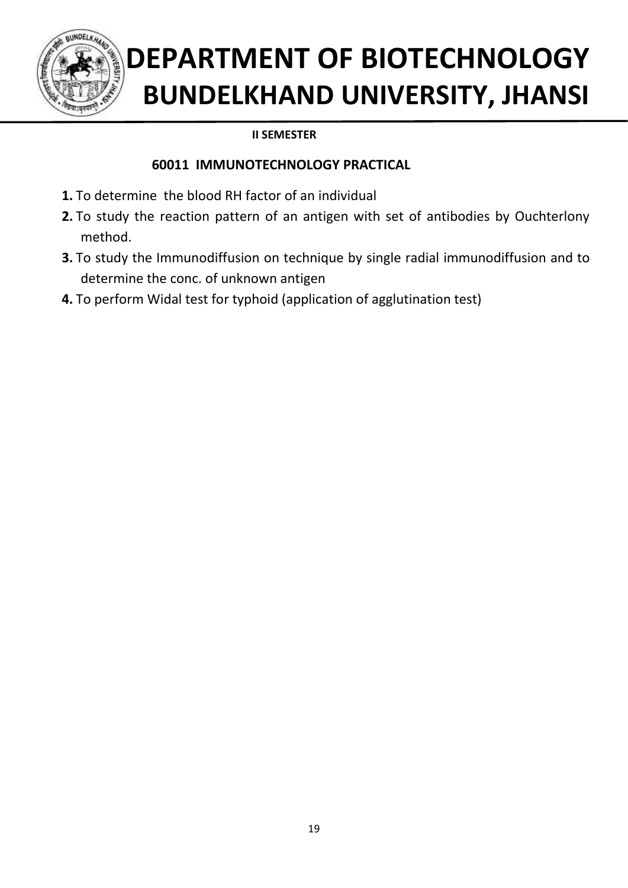

## **II SEMESTER**

## **60011 IMMUNOTECHNOLOGY PRACTICAL**

- **1.** To determine the blood RH factor of an individual
- **2.** To study the reaction pattern of an antigen with set of antibodies by Ouchterlony method.
- **3.** To study the Immunodiffusion on technique by single radial immunodiffusion and to determine the conc. of unknown antigen
- **4.** To perform Widal test for typhoid (application of agglutination test)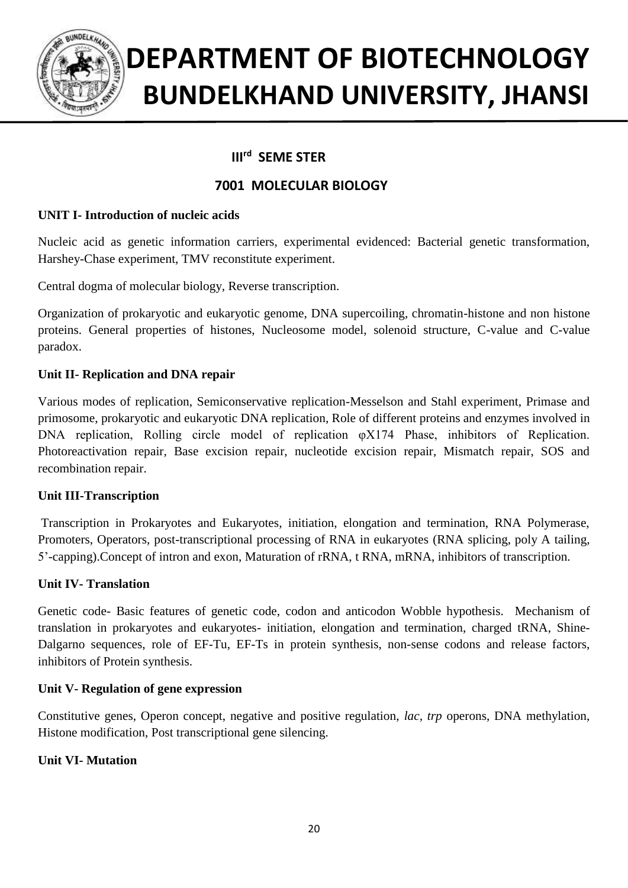

#### **IIIrd III<sup>rd</sup> SEME STER**

## **7001 MOLECULAR BIOLOGY**

### **UNIT I- Introduction of nucleic acids**

Nucleic acid as genetic information carriers, experimental evidenced: Bacterial genetic transformation, Harshey-Chase experiment, TMV reconstitute experiment.

Central dogma of molecular biology, Reverse transcription.

Organization of prokaryotic and eukaryotic genome, DNA supercoiling, chromatin-histone and non histone proteins. General properties of histones, Nucleosome model, solenoid structure, C-value and C-value paradox.

### **Unit II- Replication and DNA repair**

Various modes of replication, Semiconservative replication-Messelson and Stahl experiment, Primase and primosome, prokaryotic and eukaryotic DNA replication, Role of different proteins and enzymes involved in DNA replication, Rolling circle model of replication  $\alpha$   $\alpha$   $\beta$  Phase, inhibitors of Replication. Photoreactivation repair, Base excision repair, nucleotide excision repair, Mismatch repair, SOS and recombination repair.

#### **Unit III-Transcription**

Transcription in Prokaryotes and Eukaryotes, initiation, elongation and termination, RNA Polymerase, Promoters, Operators, post-transcriptional processing of RNA in eukaryotes (RNA splicing, poly A tailing, 5'-capping).Concept of intron and exon, Maturation of rRNA, t RNA, mRNA, inhibitors of transcription.

### **Unit IV- Translation**

Genetic code- Basic features of genetic code, codon and anticodon Wobble hypothesis. Mechanism of translation in prokaryotes and eukaryotes- initiation, elongation and termination, charged tRNA, Shine-Dalgarno sequences, role of EF-Tu, EF-Ts in protein synthesis, non-sense codons and release factors, inhibitors of Protein synthesis.

#### **Unit V- Regulation of gene expression**

Constitutive genes, Operon concept, negative and positive regulation, *lac, trp* operons, DNA methylation, Histone modification, Post transcriptional gene silencing.

### **Unit VI- Mutation**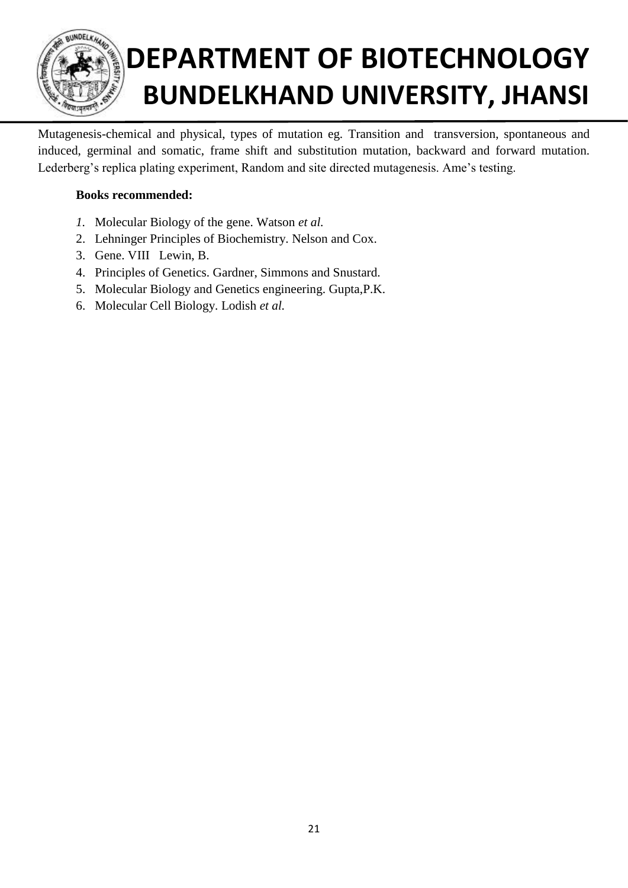

Mutagenesis-chemical and physical, types of mutation eg. Transition and transversion, spontaneous and induced, germinal and somatic, frame shift and substitution mutation, backward and forward mutation. Lederberg's replica plating experiment, Random and site directed mutagenesis. Ame's testing.

### **Books recommended:**

- *1.* Molecular Biology of the gene. Watson *et al.*
- 2. Lehninger Principles of Biochemistry. Nelson and Cox.
- 3. Gene. VIII Lewin, B.
- 4. Principles of Genetics. Gardner, Simmons and Snustard.
- 5. Molecular Biology and Genetics engineering. Gupta,P.K.
- 6. Molecular Cell Biology. Lodish *et al.*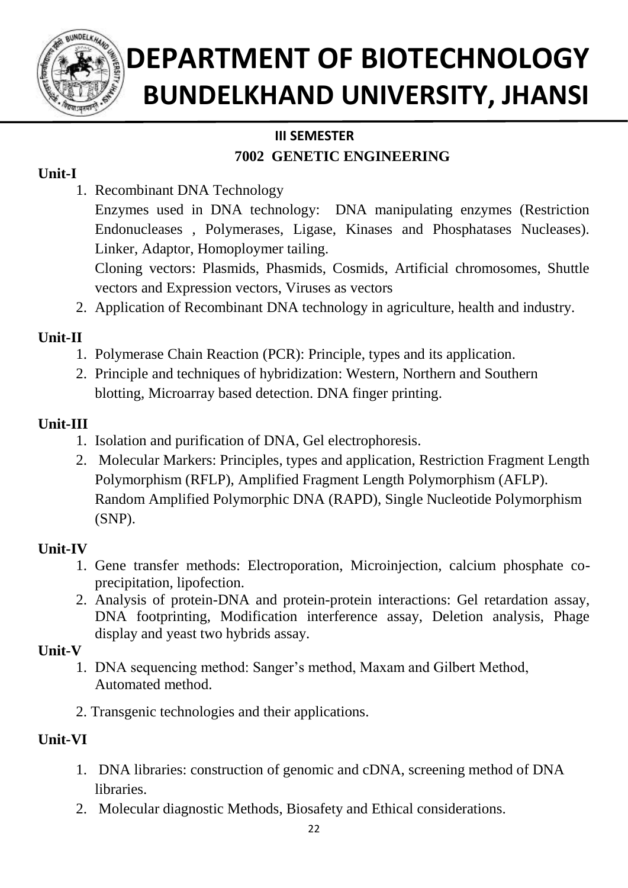

## **III SEMESTER**

## **7002 GENETIC ENGINEERING**

## **Unit-I**

- 1. Recombinant DNA Technology
	- Enzymes used in DNA technology: DNA manipulating enzymes (Restriction Endonucleases , Polymerases, Ligase, Kinases and Phosphatases Nucleases). Linker, Adaptor, Homoploymer tailing.
	- Cloning vectors: Plasmids, Phasmids, Cosmids, Artificial chromosomes, Shuttle vectors and Expression vectors, Viruses as vectors
- 2. Application of Recombinant DNA technology in agriculture, health and industry.

## **Unit-II**

- 1. Polymerase Chain Reaction (PCR): Principle, types and its application.
- 2. Principle and techniques of hybridization: Western, Northern and Southern blotting, Microarray based detection. DNA finger printing.

## **Unit-III**

- 1. Isolation and purification of DNA, Gel electrophoresis.
- 2. Molecular Markers: Principles, types and application, Restriction Fragment Length Polymorphism (RFLP), Amplified Fragment Length Polymorphism (AFLP). Random Amplified Polymorphic DNA (RAPD), Single Nucleotide Polymorphism (SNP).

## **Unit-IV**

- 1. Gene transfer methods: Electroporation, Microinjection, calcium phosphate coprecipitation, lipofection.
- 2. Analysis of protein-DNA and protein-protein interactions: Gel retardation assay, DNA footprinting, Modification interference assay, Deletion analysis, Phage display and yeast two hybrids assay.

## **Unit-V**

- 1. DNA sequencing method: Sanger's method, Maxam and Gilbert Method, Automated method.
- 2. Transgenic technologies and their applications.

## **Unit-VI**

- 1. DNA libraries: construction of genomic and cDNA, screening method of DNA libraries.
- 2. Molecular diagnostic Methods, Biosafety and Ethical considerations.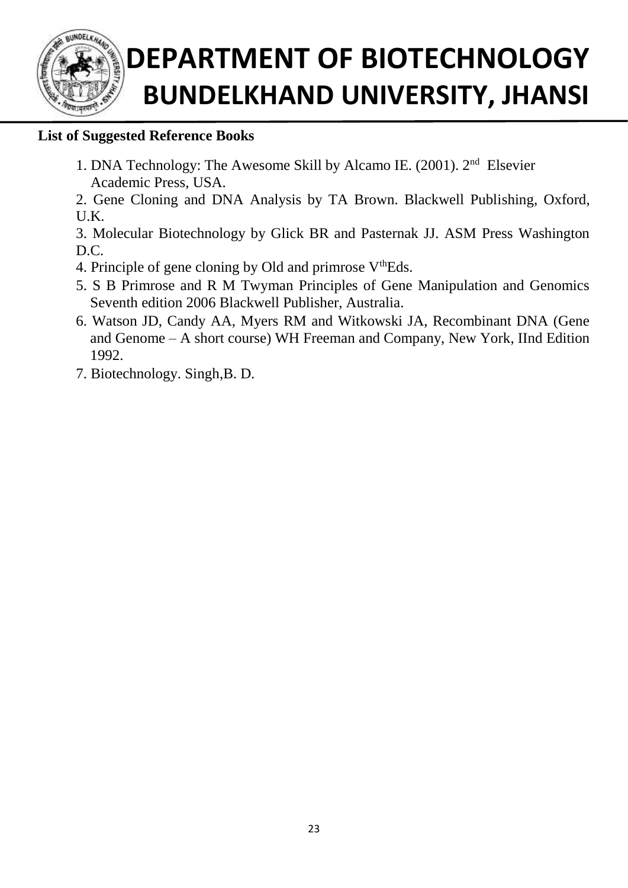

## **List of Suggested Reference Books**

- 1. DNA Technology: The Awesome Skill by Alcamo IE. (2001). 2nd Elsevier Academic Press, USA.
- 2. Gene Cloning and DNA Analysis by TA Brown. Blackwell Publishing, Oxford, U.K.

3. Molecular Biotechnology by Glick BR and Pasternak JJ. ASM Press Washington D.C.

- 4. Principle of gene cloning by Old and primrose  $V<sup>th</sup>Eds$ .
- 5. S B Primrose and R M Twyman Principles of Gene Manipulation and Genomics Seventh edition 2006 Blackwell Publisher, Australia.
- 6. Watson JD, Candy AA, Myers RM and Witkowski JA, Recombinant DNA (Gene and Genome – A short course) WH Freeman and Company, New York, IInd Edition 1992.
- 7. Biotechnology. Singh,B. D.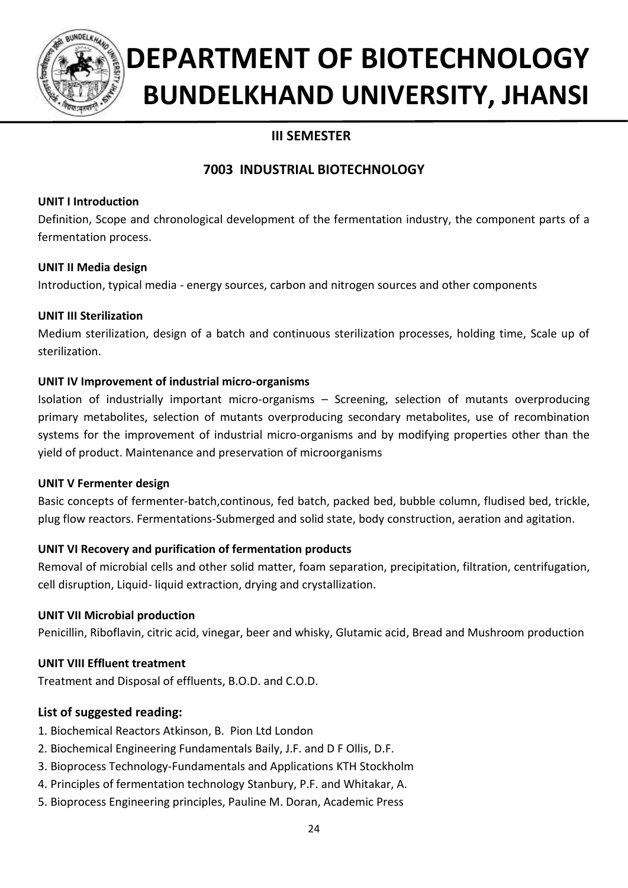

## **III SEMESTER**

## **7003 INDUSTRIAL BIOTECHNOLOGY**

### **UNIT I Introduction**

Definition, Scope and chronological development of the fermentation industry, the component parts of a fermentation process.

### **UNIT II Media design**

Introduction, typical media - energy sources, carbon and nitrogen sources and other components

### **UNIT III Sterilization**

Medium sterilization, design of a batch and continuous sterilization processes, holding time, Scale up of sterilization.

### **UNIT IV Improvement of industrial micro-organisms**

Isolation of industrially important micro-organisms – Screening, selection of mutants overproducing primary metabolites, selection of mutants overproducing secondary metabolites, use of recombination systems for the improvement of industrial micro-organisms and by modifying properties other than the yield of product. Maintenance and preservation of microorganisms

### **UNIT V Fermenter design**

Basic concepts of fermenter-batch,continous, fed batch, packed bed, bubble column, fludised bed, trickle, plug flow reactors. Fermentations-Submerged and solid state, body construction, aeration and agitation.

### **UNIT VI Recovery and purification of fermentation products**

Removal of microbial cells and other solid matter, foam separation, precipitation, filtration, centrifugation, cell disruption, Liquid- liquid extraction, drying and crystallization.

### **UNIT VII Microbial production**

Penicillin, Riboflavin, citric acid, vinegar, beer and whisky, Glutamic acid, Bread and Mushroom production

### **UNIT VIII Effluent treatment**

Treatment and Disposal of effluents, B.O.D. and C.O.D.

- 1. Biochemical Reactors Atkinson, B. Pion Ltd London
- 2. Biochemical Engineering Fundamentals Baily, J.F. and D F Ollis, D.F.
- 3. Bioprocess Technology-Fundamentals and Applications KTH Stockholm
- 4. Principles of fermentation technology Stanbury, P.F. and Whitakar, A.
- 5. Bioprocess Engineering principles, Pauline M. Doran, Academic Press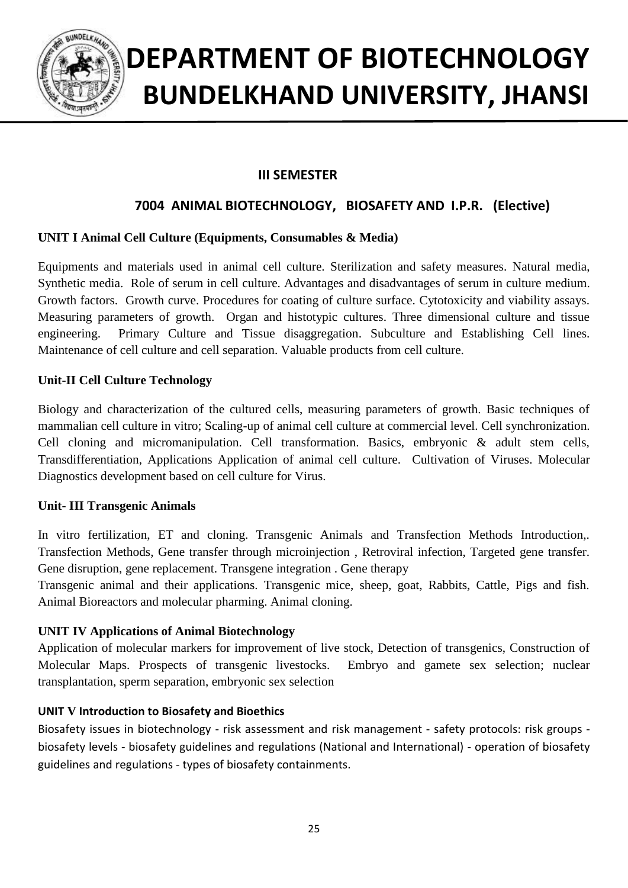

## **III SEMESTER**

## **7004 ANIMAL BIOTECHNOLOGY, BIOSAFETY AND I.P.R. (Elective)**

### **UNIT I Animal Cell Culture (Equipments, Consumables & Media)**

Equipments and materials used in animal cell culture. Sterilization and safety measures. Natural media, Synthetic media. Role of serum in cell culture. Advantages and disadvantages of serum in culture medium. Growth factors. Growth curve. Procedures for coating of culture surface. Cytotoxicity and viability assays. Measuring parameters of growth. Organ and histotypic cultures. Three dimensional culture and tissue engineering. Primary Culture and Tissue disaggregation. Subculture and Establishing Cell lines. Maintenance of cell culture and cell separation. Valuable products from cell culture.

### **Unit-II Cell Culture Technology**

Biology and characterization of the cultured cells, measuring parameters of growth. Basic techniques of mammalian cell culture in vitro; Scaling-up of animal cell culture at commercial level. Cell synchronization. Cell cloning and micromanipulation. Cell transformation. Basics, embryonic & adult stem cells, Transdifferentiation, Applications Application of animal cell culture. Cultivation of Viruses. Molecular Diagnostics development based on cell culture for Virus.

#### **Unit- III Transgenic Animals**

In vitro fertilization, ET and cloning. Transgenic Animals and Transfection Methods Introduction,. Transfection Methods, Gene transfer through microinjection , Retroviral infection, Targeted gene transfer. Gene disruption, gene replacement. Transgene integration . Gene therapy

Transgenic animal and their applications. Transgenic mice, sheep, goat, Rabbits, Cattle, Pigs and fish. Animal Bioreactors and molecular pharming. Animal cloning.

#### **UNIT IV Applications of Animal Biotechnology**

Application of molecular markers for improvement of live stock, Detection of transgenics, Construction of Molecular Maps. Prospects of transgenic livestocks. Embryo and gamete sex selection; nuclear transplantation, sperm separation, embryonic sex selection

#### **UNIT V Introduction to Biosafety and Bioethics**

Biosafety issues in biotechnology - risk assessment and risk management - safety protocols: risk groups biosafety levels - biosafety guidelines and regulations (National and International) - operation of biosafety guidelines and regulations - types of biosafety containments.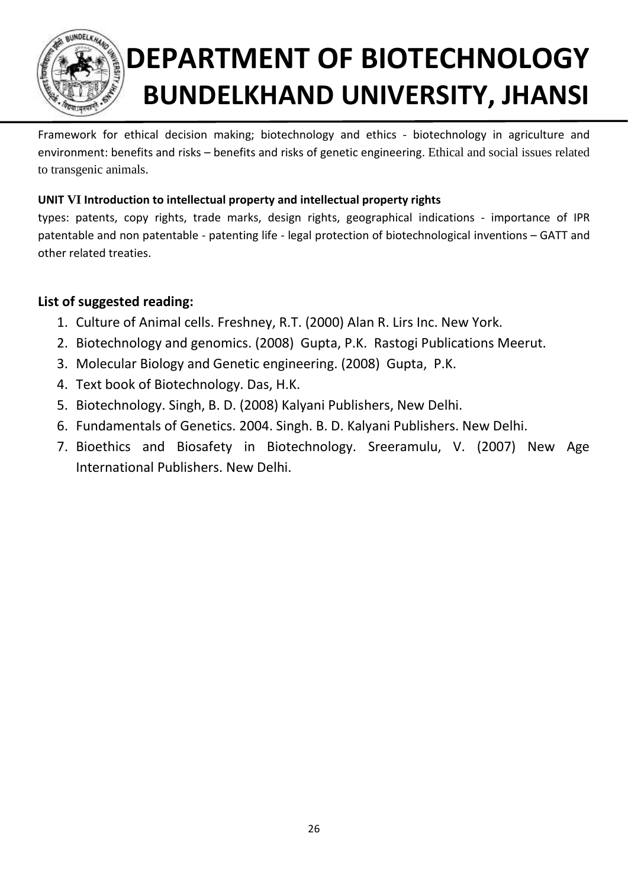

Framework for ethical decision making; biotechnology and ethics - biotechnology in agriculture and environment: benefits and risks – benefits and risks of genetic engineering. Ethical and social issues related to transgenic animals.

## **UNIT VI Introduction to intellectual property and intellectual property rights**

types: patents, copy rights, trade marks, design rights, geographical indications - importance of IPR patentable and non patentable - patenting life - legal protection of biotechnological inventions – GATT and other related treaties.

- 1. Culture of Animal cells. Freshney, R.T. (2000) Alan R. Lirs Inc. New York.
- 2. Biotechnology and genomics. (2008) Gupta, P.K. Rastogi Publications Meerut.
- 3. Molecular Biology and Genetic engineering. (2008) Gupta, P.K.
- 4. Text book of Biotechnology. Das, H.K.
- 5. Biotechnology. Singh, B. D. (2008) Kalyani Publishers, New Delhi.
- 6. Fundamentals of Genetics. 2004. Singh. B. D. Kalyani Publishers. New Delhi.
- 7. Bioethics and Biosafety in Biotechnology. Sreeramulu, V. (2007) New Age International Publishers. New Delhi.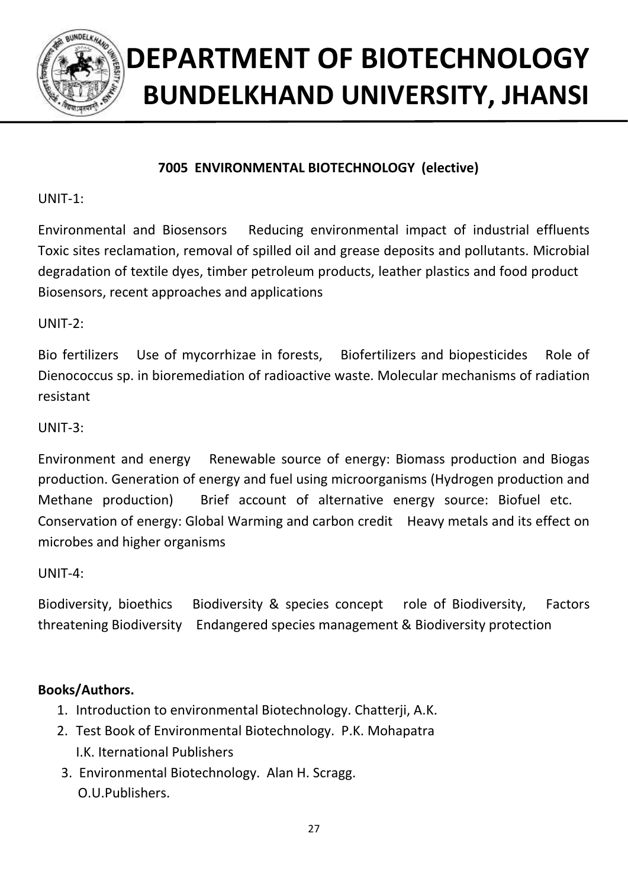

## **7005 ENVIRONMENTAL BIOTECHNOLOGY (elective)**

UNIT-1:

Environmental and Biosensors Reducing environmental impact of industrial effluents Toxic sites reclamation, removal of spilled oil and grease deposits and pollutants. Microbial degradation of textile dyes, timber petroleum products, leather plastics and food product Biosensors, recent approaches and applications

UNIT-2:

Bio fertilizers Use of mycorrhizae in forests, Biofertilizers and biopesticides Role of Dienococcus sp. in bioremediation of radioactive waste. Molecular mechanisms of radiation resistant

UNIT-3:

Environment and energy Renewable source of energy: Biomass production and Biogas production. Generation of energy and fuel using microorganisms (Hydrogen production and Methane production) Brief account of alternative energy source: Biofuel etc. Conservation of energy: Global Warming and carbon credit Heavy metals and its effect on microbes and higher organisms

UNIT-4:

Biodiversity, bioethics Biodiversity & species concept role of Biodiversity, Factors threatening Biodiversity Endangered species management & Biodiversity protection

## **Books/Authors.**

- 1. Introduction to environmental Biotechnology. Chatterji, A.K.
- 2. Test Book of Environmental Biotechnology. P.K. Mohapatra I.K. Iternational Publishers
- 3. Environmental Biotechnology. Alan H. Scragg. O.U.Publishers.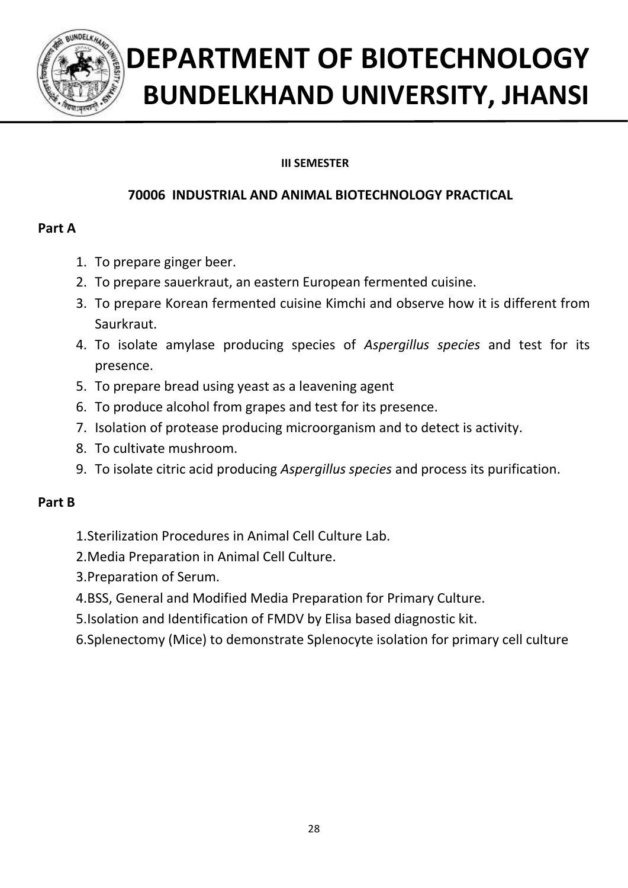

## **III SEMESTER**

## **70006 INDUSTRIAL AND ANIMAL BIOTECHNOLOGY PRACTICAL**

## **Part A**

- 1. To prepare ginger beer.
- 2. To prepare sauerkraut, an eastern European fermented cuisine.
- 3. To prepare Korean fermented cuisine Kimchi and observe how it is different from Saurkraut.
- 4. To isolate amylase producing species of *Aspergillus species* and test for its presence.
- 5. To prepare bread using yeast as a leavening agent
- 6. To produce alcohol from grapes and test for its presence.
- 7. Isolation of protease producing microorganism and to detect is activity.
- 8. To cultivate mushroom.
- 9. To isolate citric acid producing *Aspergillus species* and process its purification.

## **Part B**

- 1.Sterilization Procedures in Animal Cell Culture Lab.
- 2.Media Preparation in Animal Cell Culture.
- 3.Preparation of Serum.
- 4.BSS, General and Modified Media Preparation for Primary Culture.
- 5.Isolation and Identification of FMDV by Elisa based diagnostic kit.
- 6.Splenectomy (Mice) to demonstrate Splenocyte isolation for primary cell culture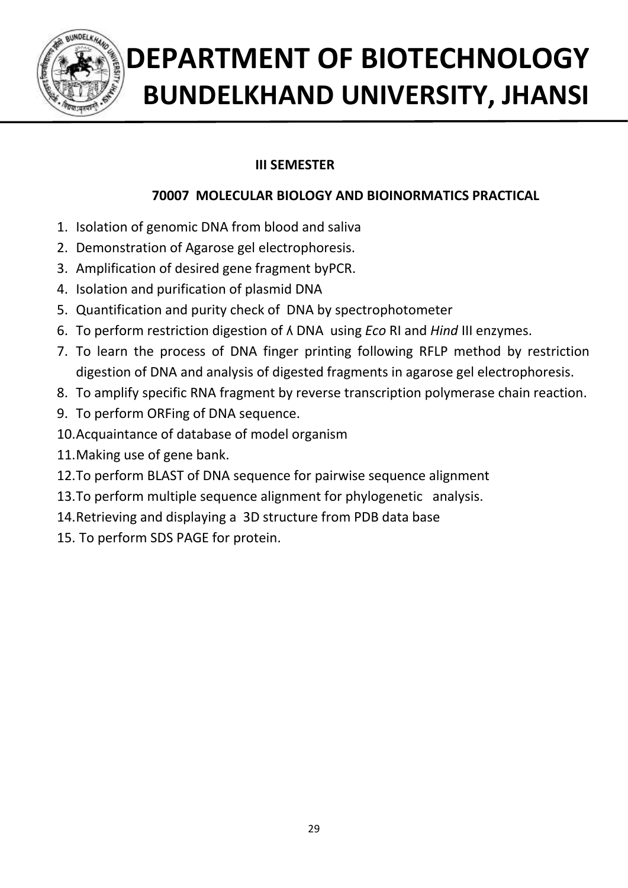

## **III SEMESTER**

## **70007 MOLECULAR BIOLOGY AND BIOINORMATICS PRACTICAL**

- 1. Isolation of genomic DNA from blood and saliva
- 2. Demonstration of Agarose gel electrophoresis.
- 3. Amplification of desired gene fragment byPCR.
- 4. Isolation and purification of plasmid DNA
- 5. Quantification and purity check of DNA by spectrophotometer
- 6. To perform restriction digestion of ʎ DNA using *Eco* RI and *Hind* III enzymes.
- 7. To learn the process of DNA finger printing following RFLP method by restriction digestion of DNA and analysis of digested fragments in agarose gel electrophoresis.
- 8. To amplify specific RNA fragment by reverse transcription polymerase chain reaction.
- 9. To perform ORFing of DNA sequence.
- 10.Acquaintance of database of model organism
- 11.Making use of gene bank.
- 12.To perform BLAST of DNA sequence for pairwise sequence alignment
- 13.To perform multiple sequence alignment for phylogenetic analysis.
- 14.Retrieving and displaying a 3D structure from PDB data base
- 15. To perform SDS PAGE for protein.